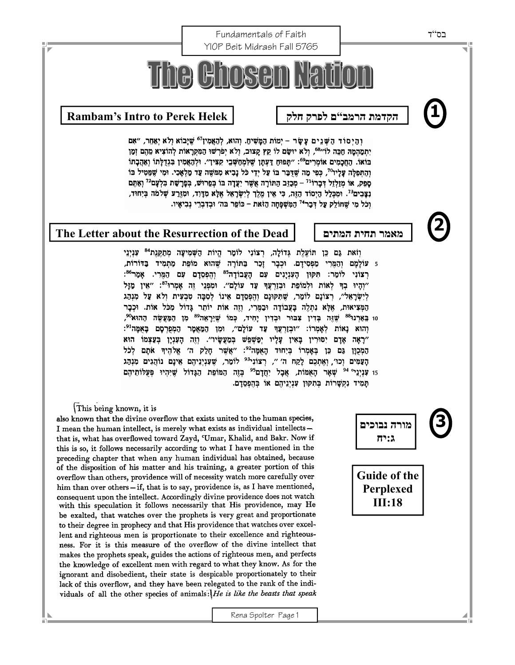Fundamentals of Faith בס"ד YIOP Beit Midrash Fall 5765 he Ch **1 Rambam's Intro to Perek Helek חלק לפרק ם"הרמב הקדמת**וְהַיְסוֹד הַשְּׁנֵים עָשָׂר - יְמוֹת הַמָּשִׁיחַ. וְהוּא, לְהָאֲמִין<sup>67</sup> שֶׁיָּבוֹא וְלֹא יְאַחֵר, "אִם יְתְמַהְמָה חַכֵּה לוֹ"<sup>68</sup>, וְלֹא יוּשָׂם לוֹ קֵץ קָצוּב, וְלֹא יְפֹרְשׁוּ הַמִּקְרָאוֹת לְהוֹצִיא מֵהֶם וְמַן בּוֹאוֹ. הַחֲכָמִים אוֹמְרִים": "תְּפוּחַ דַעְתָן שֶׁלִּמְחַשְּׁבֵי קִצִּין". וּלְהַאֲמִין בִּגְדֻלְתוֹ וְאַהֲכָתוֹ וְהַתְפִלָּה עָלַיו<sup>70</sup>, כִּפִּי מַה שִׁדְּבַר בּוֹ עַל יִדֵי כֹּל נָבִיא מִמּשָׁה עַד מַלְאָכִי. וּמִי שֶׁמֵּטִיל בּוֹ סָפֶק, אוֹ מְזַלְזֵל דְּבָרוֹ<sup>נְדָ</sup> – מְכָזֶב הַתּוֹרָה אֲשֶׁר יִעֲדָה בּוֹ בְּפֵרוּשׁ, בְּפָרָשַׁת בִּלְעָם<sup>72</sup> וְאַתָּם נַצָּבִים<sup>73</sup>. וּמִכְּלַל הַיְסוֹד הַזֶּה, כִּי אֵין מֶלֶךְ לְיִשְׂרָאֵל אֶלָא מְדָוד, וּמְזֶרַע שְׁלֹמֹה בְּיִחוּד, וְכֹל מִי שֶׁחוֹלֵק עַל דְּבָר<sup>74</sup> הַמְּשָׁפָּחָה הַזֹּאת – כּוֹפֵר בּה׳ וּבִדְבְרֵי נִבִיאָיו. **2 The Letter about the Resurrection of the Dead המתים תחית מאמר** וזאת גם כן תועלת גדולה, רצוני לומר היות השמיעה מתקנת<sup>84</sup> עניני 5 עוֹלַמָם וְהַמְּרִי מַפְסִידָם. וּכְבָר זַכַר בַּתּוֹרָה שֶׁהוּא מוֹפֵת מַתִּמִיד בַּדּוֹרוֹת, רִצוֹנִי לוֹמֵר: תִּקּוּן הַעִּנְיַנִים עִם הַעֲבוֹדַה<sup>85</sup> וְהִפְסֵדַם עָם הַמֵּרִי. אַמֵּר<sup>86</sup>: ״וְהָיוּ בְךָ לְאוֹת וּלְמוֹפֵת וּבְזַרְעֲךָ עַד עוֹלָם״. וּמִפְּנֵי זֶה אָמְרוּ<sup>87</sup>: ״אֵין מַזָּל לִישַׂרָאָל׳׳, רצוֹנָם לוֹמַר, שִׁתִּקּוּנָם וְהִפְסֶדָם אִינוֹ לְסְבָּה טְבְעִית וִלֹא עַל מְנְהַג הַמְּצִיאוּת, אָלֵא נְתְלֵה בַּעֲבוֹדָה וּבָמֵּרִי, וְזֶה אוֹת יוֹתֶר גָּדוֹל מְכֹּל אוֹת. וּכְבָר 10 בֵּאַרְנוּ<sup>88</sup> שֶׁזֶּה בְּדִין צִבּוּר וּבְדִין יָחִיד, כְּמוֹ שֶׁיֵּרָאָה<sup>89</sup> מִן הַמַּעֲשֶׂה הַהוּא<sup>90</sup>, יְהוּא נָאוֹת לְאָמְרוֹ: "וּבְזַרְעֲךָ עַד עוֹלָם", וּמַן הַמַּאֲמָר הַמְפַרְסָם בָּאֻמָּה<sup>ּנ</sup>י: ״רָאָה אָדָם יִסוּרִין בָּאִין עָלָיו יִפַּשִׁפִּשׁ בִּמַעֲשָׂיו״. וְזֶה הָעָנְיָן בִּעַצְמוֹ הוּא הַמְכְוַן גַּם כֵּן בְּאָמְרוֹ בִּיְחוּד הָאִמָּה<sup>92</sup>: "אֲשֶׁר חַלַק ה' אֱלֹהֶיךָ אֹתָם לְכֹל הַעֲמִים וְכוּ׳, וְאֶתְכֶם לַקֵת ה׳ ״, רְצוֹנְי<sup>93</sup> לוֹמֵר, שֵׁעְנִיְנֵיהֶם אֵינָם נוֹהֲגִים מִנְהָג 15 עִנְיְגֵי<sup>04</sup> שְׁאָר הָאָמּוֹת, אֲבָל יִחֲדָם<sup>95</sup> בְּזֶה הַמּוֹפֵת הַגָּדוֹל שֶׁיִּהְיוּ פְּעֻלוֹתֵיהֶם תַּמִיד נִקְשָׁרוֹת בְּתִקְוּן עִנְיְנֵיהֶם אוֹ בְּהֶפְסֻדָם. This being known, it is **3**  also known that the divine overflow that exists united to the human species, **מורה נבוכים**  I mean the human intellect, is merely what exists as individual intellectsthat is, what has overflowed toward Zayd, 'Umar, Khalid, and Bakr. Now if **ג:יח** this is so, it follows necessarily according to what I have mentioned in the preceding chapter that when any human individual has obtained, because of the disposition of his matter and his training, a greater portion of this **Guide of the**  overflow than others, providence will of necessity watch more carefully over him than over others - if, that is to say, providence is, as I have mentioned, **Perplexed** consequent upon the intellect. Accordingly divine providence does not watch **III:18** with this speculation it follows necessarily that His providence, may He be exalted, that watches over the prophets is very great and proportionate to their degree in prophecy and that His providence that watches over excellent and righteous men is proportionate to their excellence and righteousness. For it is this measure of the overflow of the divine intellect that makes the prophets speak, guides the actions of righteous men, and perfects

the knowledge of excellent men with regard to what they know. As for the ignorant and disobedient, their state is despicable proportionately to their lack of this overflow, and they have been relegated to the rank of the individuals of all the other species of animals:  $He$  is like the beasts that speak

Rena Spolter Page 1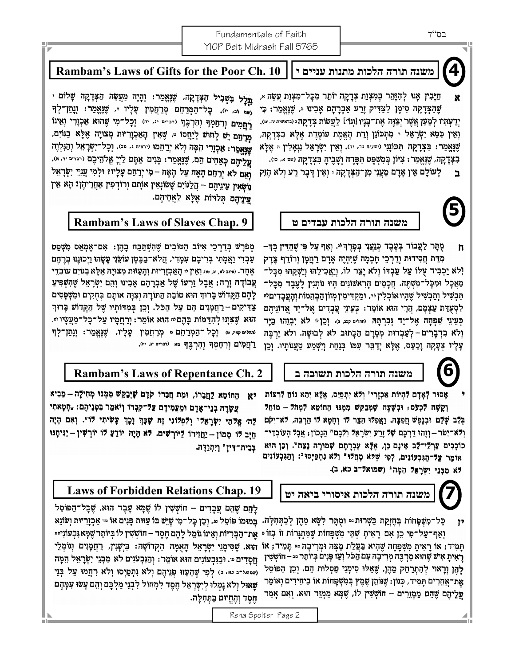### Fundamentals of Faith YIOP Beit Midrash Fall 5765



ּמַיָּבִין אָנוּ לְהִזָּהֵר בְּמִצְוַת צְדָקָה יוֹתֵר מִכָּל־מִצְוַת עֲשֵׂה \*, X שֶׁהַצְּדָקָה סִימָן לַצַּדִּיק וָרַע אַבְרָהָם אָבִינוּ וּ, שֶׁנֶּאֱמַר: כִּי יְדַעְתִּיו לְמַעַן אֲשֶׁר יְצַוֶּה אֶת־בָּנָיו [וְגוֹ׳] לַעֲשׂוֹת צְדָקָה ו והישית יה. יש). וְאֵין כִּפֵּא יִשְׂרָאֵל י מִתְכּוֹנֵן וְדַת הָאֵמֶת עוֹמֵדֵת אֵלֶא בִצְדָקָה, שֶׁנֶּאֱמַר: בִּצְדָקָה תִּכּוֹנְגִי (ישּׁיַיה נִי, יוּ). וְאֵין יִשְׂרָאֵל גִנְאָלִין הּ אֶלָא בִצְדָקָה, שֶׁנֶּאֱמֵר: צִיּוֹן בְּמִשְׁפָּט תִּפָּדֶה וְשָׁבֶיהָ בִצְדָקָה (שם א, כו).

לְעוֹלָם אֵין אָדָם מַעֲגִי מִן־הַצְּדָקָה ּ יְאֵין דָּבֶר רַע וְלֹא הֶגִּק ב

# **5**

ָקֻתָּר לַעֲבוֹד בְּעֶבֶד כְּנַעֲנִי בְּפָרֶדִּיּ. וְאַף עַל פִּי שֶׁהַדִּין כָּדִּ– n מְרַת חֲסִידוּת וְדַרְכֵי חָכְמָה שֶׁיִּהְיֶה אָדָם רַחֲמֶן וְרוֹדֵף צֵדֵק וְלֹא יַכְבִּיד עֻלּוֹ עַל עַבְדּוֹ וְלֹא יָצֵר לוֹ, וְיַאֲכִילֵהוּ וְיֵשְׁקֵהוּ מִכָּל־ מַאֲכָל וּמִכְּל־מִשְׁתֶּה. חֲכָמִים הָרָאשׁוֹנִים הָיוּ נוֹחְנִין לָעֶבֶד מִכָּל־ תַּבְשִׁיל וְתַבְשִׁיל שֶׁהָיוּאוֹכְלִין ּוּ, וּמַקְדִּימִין מְזוֹן הַבְּהֵמוֹת וְהָעֲבָדִיםיּי לִסְעֻדַּת עַצְמָם, הֲרֵי הוּא אוֹמֵר: כְּעֵינֵי עֲבָדִים אֶל־יַד אֲדוֹנֵיהֶם כְּעֵינֵי שִׁפְחָה אֶל־יַד נְּבִרְתָּה (מחלים קבג ב). וְכֵן יּ לֹא יִבְזֵהוּ בַּיָּד וְלֹא בִדְבָרִים-לְעַבְדוּת מְסָרָם הַכְּתוּב לֹא לְבוּשָׁה. ולֹא יַרְבֶּה עָלָיו צְעָקָה וָכַעַס, אֶלָא יְדַבִּר עִמּוֹ בְּנַחַת וְיִשְׁמַע טַעֲנוֹתָיו. וְכֵן

## **6**

אָסוּר לְאָדָם לִהְיוֹת אַכְזָרִי' וְלֹא יִתְפַּיֵס, אֶלָּא יְהָא נוֹחַ לִּרְצוֹת וְקָשֶׁה לִּכְעֹס; וּבְשָׁעָה שָׁמְּבַקֵּשׁ מִמֶּנּוּ הַחוֹמֵא לִּמְחֹל – מוֹחֵל בְּלֵב שָׁלֵם וּבְנֶמֶשׁ חֲפֵצָה. וַאֲמִלּוּ הַצֵּר לוֹ וְחָטָא לוֹ הַרְבֵּה, לֹּא־יִקֹּם וְלֹא־יִטֹּר–וְזֶהוּ דַרְכָּם שָׁלֹ זֶרֵע יִשְׂרָאֵל וְלִבְּם" הַנְּכוֹן; אֲבָל הָעוֹבְדֵי־ כוֹכָבִים עַרְלֵּי־לֵב אֵינָם כֵּן, אֶלָּא עֶבְרָתָם שְׁמוּרָה נֶצֵח". וְכֵן הוּא אימר עַל־הַגִּבְעוֹנִים, לְפִי שָׁלּא מָחֲלוּ" וְלֹא נִתְפַּיְסוּ־: וְהַגִּבְעוֹנִים לא מִבְּנֵי יִשְׂרָאֵל הַמָּה<sup>נ</sup> (שמואל־ב כא, ב).



צֲשָׂרָה בְנֵי־אָדָם וּמֵצְמִידָם צַלּ־קִבְרוֹ וְיֹאמֵר בִּפְנֵיהֶם: "חָטָאתִי ַיָּה׳ אֱלֹהֵי יִשְׂרָאֵלּי וְלִפְלוֹנִי זֶה שָׁכֶּךְ נָכֶךְ צָּשִׂיתִי לּוֹ״. וְאִם הָיָה חַיָב דוּ מְמוֹן - יַחֲזִירוֹ לֵיוֹרְשִׁים. דֹא הָיָה יוֹדַעֲ דוֹ יוֹרְשִׁין - יַנִּיחָנּוּ בְּבִית־דִּין" וְיִתְוַדָּה.

 $^{\prime}$ תַּמִיד; אוֹ רַאִיתַ מְשִׁפַּחַה שֶׁהִיא בַּעֲלַת מַצָּה וּמְרִיבָה ¤ תַּמִיד; אוֹ רָאִיתָ אִישׁ שֶׁהוּא מַרְבֶּה מְרִיבָה עִם הַכֹּל וְעַז פָּנִים בְּיוֹתֵר == חוֹשְׁשִׁין לָהֶן וְרָאוּי לְהִתְרַחֵק מֵהֶן, שֶׁאֵלּוּ סִימֲנֵי פַּסְלוּת הֵם. וְכֵן הַפּוֹסֵל אֶת־אֲחֵרִים תְּמִיד, כְּגוֹן: שֶׁנּוֹתֵן שֶׁמֶץ בְּמִשְׁפָּחוֹת אוֹ בִיחִידִים וְאוֹמֵר עֲלֵיהֶם שֶׁהֵם מַמְּוֵרִים – חוֹשְׁשִׁין לוֹ, שֶׁמָּא מַמְוֵר הוּא. וְאִם אָמַר

### **19 .Chap Relations Forbidden of Laws משנה תורה הלכות איסורי ביאה יט**

לָהֵם שֶׁהֵם עֲבָדִים – חוֹשָׁשִׁין לוֹ שֶׁמָּא עָבֶד הוּא, שֶׁכָּל־הַפּוֹסֵל כָּל־מִשְׁפָּחוֹת בְּחֶזְקַת כַּשְׁרוּת ּיִיּ וּמֻתָּר לִשָּׂא מֵהֶן לְכַתְּחִלָּה. בְּמוּמוֹ פוֹסֵל יּ. וְכֵן כָּל־מִי שֶׁיֵּשׁ בּוֹ עַזּוּת פָּנִים אוֹ יִי אַכְזָרִיּוּת וְשֹׂוֹגֵא וְאַף־עַל־פִּי כֵן אִם דָאִיתָ שְׁמֵי מִשְׁפָּחוֹת שֶׁמִּתְגָּרוֹת זוֹ בְזוֹ ૰ אֶת־הַבְּרִיּוֹת וְאֵינוֹ גוֹמֵל לָהֶם חֶסֶד – חוֹשְׁשִׁין לוֹ בְּיוֹתֵר שֶׁמֶּא גִּבְעוֹנִי∘י ּהוּא. שֶׁסִּימָגֵי יִשְׂרָאֵל הָאֻמָּה הַקְּדושָּה: בַּיְשָׂנִין, רַחֲמָנִים וְגומְלֵי חֲסָדִים ּּי. וּבַגִּבְעוֹנִים הוּא אוֹמֵר: וְהַגִּבְעֹנִים לֹא מִבְּנֵי יִשְׂרָאֵל הֵמָּה (שפואל־ב כא, ב) לְפִי שֱהָעֲזוּ פְּנֵיהֶם וְלֹא וִתְפַּיְסוּ וְלֹא רִחֲמוּ עַל בְּנֵי שָׁאוּל וְלֹא נָמְלוּ לְיִשְׂרָאֵל חֶסֶד לִמְחוֹל לִבְנֵי מַלְכָּם וְהֵם עָשׂוּ עִמְּהֶם ּחֶסֶד וְהֶחֱיוּם בַּתְּחִלְה.

Rena Spolter Page 2

### **Rambam's Laws of Gifts for the Poor Ch. 10 י עניים מתנות הלכות תורה משנה**

**ָּעֲלֵל בִּשְּׁבִיל הַצְּדָקָה, שֶׁגָּאֲמֵר: וְהָיָה מַעֲשֵׂה הַצְּדָקָה שָׁלוֹם י** יו וּנְמַן־לְךָ (הַמְּרַחֵם מְרַחֲמִין עָלָיו יִ, שֶׁנָּאֲמַר: וְנְמַן־לְךָ רַחֲמִים וְרְחַמְךָ וְהִרְבֶךְ (דברים יג יח) וְכָל־מִי שֶׁהוּא אַכְזָרִי וְאֵינוֹ מְרָחָם יָשׁ לְחוּשׁ לְיַחֲסוֹ ּּ, שֶׁאֵין הָאַכְוָרִיּוּת מְצוּיָה אָלָא בַּגּוֹיִם, שְׁנֵאֲמֵר: אַכְוָרִי הַמָּה וְלֹא יְרַחֵמוּ (יוֹיִי ג, יִּי), וְכָל־יַשְׂרָאֵל וְהַגִּלְוֶה עֲלֵיהֶם כְּאַחִים הֵם, שֶׁנֶאֱמַר: בָּנִים אַתֶּם לַיְיָ אֱלֹהֵיכֶם (דִּבִים יִד, א), וְאָם לֹא יְרַחֵם הָאָח עַל הָאָח –מִי יְרַחֵם עָלְיוז וּלְמִי עֲנִיֵּי יִשְׂרָאֵל וַוֹּשָׁאִין עֵינֵיהֶם – הֲלַגּוֹיִם שֶׁשּׂוֹנְאִין אוֹתָם וְרוֹדְפִין אַחֲרֵיהֶן? הָא אֵין עֲיְנֵיהֶם תְּלוּיוֹת אֶלְא לַאֲחֵיהֶם.

### **Rambam's Laws of Slaves Chap. 9 ט עבדים הלכות תורה משנה**

מְפֹרָשׁ בְּדַרְכֵי אִיּוֹב הַטּוֹבִים שֶׁהִשְׁתַּבַּח בָּהֵן: אָם־אֶמְאַס מְשָׁפַּט עַּבְדִּי וַאֲמָתִי בְּרִיבָם עִמָּדִי, הֲלֹא־בַבֶּטֶן עוֹשֵׂנִי עָשָׂהוּ וַיְכוּנֶגּוּ בְּרֶחֶם אֶחָד. אייב לא, יג, טו). וְאֵיךְ יוּ הָאֲכְזָרִיּוּת וְהָעֲזּוּת מְצוּיָה אֱלָּא בְגוֹיִם עוֹבְדֵי צֲבוֹדָה זָרֶה; אֲבָל זַרְעוֹ שֶׁל אַבְרָהָם אָבִינוּ וְהֵם יִשְׂרָאֵל שֶׁהִשְׁפִּיעַ לְהֶם הַקְּדוֹשׁ בְּרוּךְ הוּא טוֹבֵת הַתּוֹרָה וְצִנָּה אוֹתָם בְּחֻקִים וּמִשְׁפְּטִים צַדִּיקִים–רַחֲמָנִים הֵם עַל הַכֹּל. וְכֵן בְּמִדּוֹתָיו שֶׁל הַקְּדוֹשׁ בָּרוּךְ ּהוּא שֶׁצִּנְנוּ לְהָדַמּוֹת בָּהֶם וּי הוּא אוֹמֵר: וְרַחֲמָיו עַל־כָּל־מַעֲשָׂיו וּיּ. וְהלִים קמה, טִי וְכָל דְהַמְרַחֵם פּ מְרַחֲמִין עֲלָיו, שֶׁנֶּאֱמַר: וְנְחַן־לְךָ רַחֲמִים וְרִחַמְךָ וְהִרְבֶּךָ מא (דברים יג, יח).

### **Rambam's Laws of Repentance Ch. 2 ב תשובה הלכות תורה משנה**



**7**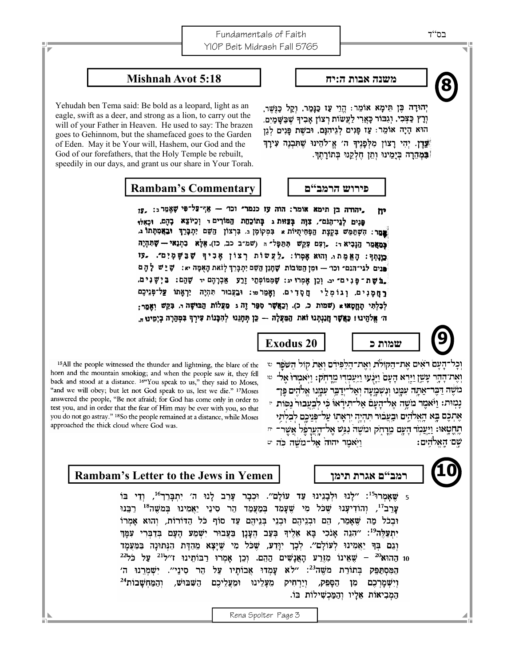### **משנה אבות ה:יח 5:18 Avot Mishnah**

Yehudah ben Tema said: Be bold as a leopard, light as an eagle, swift as a deer, and strong as a lion, to carry out the will of your Father in Heaven. He used to say: The brazen goes to Gehinnom, but the shamefaced goes to the Garden of Eden. May it be Your will, Hashem, our God and the God of our forefathers, that the Holy Temple be rebuilt, speedily in our days, and grant us our share in Your Torah.

### **פירוש הרמב"ם Commentary s'Rambam**

"מְהודה בן תימא אומר: הוה עו כנמר" וכו' - אַף־עּל־פִּי שָׁאֲמֵר <sub>ב: 17</sub>, פנים לגי־הַנֹם", צְוָה בְּצֵאת ג בְּתוֹכָחַת הַמּוֹרִים דּ וְכַיוֹצֵא בָהֶם. וּכָאלּוּ פר: הִשְׁמַמֵּשׁ בִּקְצָת הַפְּחִיתֻיּוֹת א בִּמְקוֹמָן ג. בִּרְצוֹן הַשֵּׁם יִתְבָּרֵךְ וּבָאֲמִמָּתוֹ ג. כָּמַאֲמַר הַנָּבִיא דּ: ,וְצָם צָקֵשׁ תִּתַּפְּלֹ־הּ (שמ"ב כב, כו) אֶלָּא בִתְנֵאי - שָׁתִּהְיֶה מוּחִר: הָאֱמֶת <sub>י</sub> וְהוּא אָמְרו: לַצְשּׁוֹת רְצוֹן אָכִיךָ שָׁבַּשָּׁמְיִם". עִי פּנים לגי־הנם״ וכו׳ — וּמִן הַטּוֹבוֹת שֶׁחֶנַן הַשֵּׁם יִתְכְּרֵךְ לְזֹאת הָאִמָּה יא: שָׁיֵשׁ לְהֶם בלשת־פּנִים" יב. וְכֵן אֲמְרוּ יג: שָׁמְמוֹפְתֵי זֶרַע אֲבְרָהָם יד שָׁהֵם: בַּיְשָׁנִים. רַחַמָּנִים, וְגוֹמְלֵי חַסְדִים. וְאֲמַרֹטו: וּבַצְבוּר תִּהְיֶה יִרְאָתוֹ עַל־פְּנֵיכֶם לְבָלְתִּי תַחֲטָאוּ (שמות כ, כ). וְכַאֲשֶׁר סְפָּר זֶה ג מַעֲלוֹת הַבּוּשָׁה <sub>ה</sub> בְּקֵשׁ וְאַמַר: ה׳ אֵלֹהֵינוּ! כַּאֲשֶׁר חֲנַנְתָּנוּ זֹאת הַמַּעֲלָה — כֵּן תְּחָנֵוּ לְהִבָּנוֹת צִירְךָ בִּמְהָרָה בְיִמֵינוּ

<sup>15</sup>All the people witnessed the thunder and lightning, the blare of the horn and the mountain smoking; and when the people saw it, they fell back and stood at a distance. <sup>16"</sup>You speak to us," they said to Moses, "and we will obey; but let not God speak to us, lest we die." 17Moses answered the people, "Be not afraid; for God has come only in order to test you, and in order that the fear of Him may be ever with you, so that you do not go astray." 18So the people remained at a distance, while Moses approached the thick cloud where God was.

### **Rambam's Letter to the Jews in Yemen תימן אגרת ם"רמב**

5 שאמרוּ<sup>15</sup>: "לנוּ וּלבִנינוּ עד עוֹלם". וּכבר ערב לנוּ ה' יתבּרך<sup>16</sup>, ודי בּוֹ עֲרֵב<sup>זו</sup>, וְהוֹדִיעָנוּ שֶׁכֹּל מִי שֵׁעָמַד בְּמַעֲמַד הַר סִינֵי יַאֲמִינוּ בְּמֹשֶׁה<sup>18</sup> רַבְּנוּ וּבְכֹל מַה שֶׁאֲמַר, הֶם וּבְנֵיהֶם וּבְנֵי בִּנֵיהֶם עַד סוֹף כֹּל הַדּוֹרוֹת, וְהוּא אָמְרוֹ יִתְעַלֶּה<sup>ְטּ</sup>ּ: ״הִנֶה אָנֹכִי בָּא אֶלֵיךָ בְּעָב הָעָנָן בַּעֲבוּר יִשְׁמַע הַעָּם בְּדַבְרִי עִמַּךְ וְגֵם בִּךְ יַאֲמִינוּ לְעוֹלָם". לְכָךְ יִוָּדַע, שָׁכֹּל מִי שֶׁיָּצָא מֵהָדָּת הַגְּתוּנָה בַּמַּעֲמָד 10 הַהוּא<sup>20</sup> – שֶׁאִינוֹ מְזֶרַע הָאֲנָשִׁים הַהֶם. וְכֵן אָמְרוּ רַבּוֹתִינוּ ז׳׳ל<sup>21</sup> עַל כֹּל<sup>22</sup> הַמְּסְתַּפֵּק בְּתוֹרַת מֹשֶׁה<sup>23</sup>: "לֹא עָמְדוּ אֲבוֹתָיו עַל הַר סִינַי". יִשְׁמְרֵנוּ ה' וַיַרְחִיק מֵעָלֵינוּ וּמֶעֲלֵיכֶם הַשְּׁבּוּשׁ, וְהַמַּחִשָּׁבוֹת<sup>24</sup> הַסַפְק, וישמרכם מן הַמְבִיאוֹת אֶלָיו וְהַמַּכְשִׁילוֹת בּוֹ.

יְהוּדָה כֶּן תֵּימָא אוֹמֵר: הֵוֵי עַז כַּנָּמֵר, וְקַל כָּוֲשֶׁר, וְרָץ כַּצְּבִי, וְגִבּוֹר כָּאֲרִי לַעֲשׂוֹת רְצוֹן אָבִיךְ שָׁבַּשָּׁמַיִם. הוּא הָיָה אוֹמֵר: עַז פָּנִים לְגִיהִנֵּם, וּבֹשֵׁת פָּנִים לְגַן "עֲדֶן. יְהִי רַצוֹן מִלְפָנֵיךְ ה׳ אֱ־לֹהֶינוּ שֵׁתִּבְנֶה עִירָךְ (במהרה בִּיָמֵינוּ וְחֵן חֵלְקֵנוּ בְּתוֹרָתֵךּ.

**שמות כ 20 Exodus**

וְכָל־הָעָם רֹאִים אֲת־הַקוֹלֹת וְאֵת־הַלַפְּיִדֶם וְאֶת קוֹל הַשֹּׁפֵר ש

וְאֶת־הָהָר עָשֵׂן וַיַּרְא הָעָם וַיַּנְעוּ וַיַּעֲמְדִּוּ מֵרַחְק: וַיִּאמְרוּ אֵל־ ~ מֹשֶׁה דַבֶּר־אַתָּה עִמֲנוּ וְנִשְׁמֵעָה וְאֵל־יְדַבֶּר עִמַּנוּ אֵלֹהִים פֵּן־ נַמְוּת: וַיֹּאמֶר מִשָׁה אֵל־הַעֲםֿ אֵל־תִּירָ֫אוֹ כֹּי לבעבוּר נפוֹת יִ אֶתְכֶם בָּא הַאֱלֹהִים וּבָעֲבוּר תִּהִיָּה יְרָאֲתו עַל־פּּנֵיכֵם לבלתי תֶחֲטָאוּ: וַיַּעֲמָד הָעָם מֶרַחִק וּמִשֶּׁה נִגַּשׁ אֲל־הָעֲרַפֶּל אַשֶּׁר־ תּ וַיַאמֶר יהוה אל־מַשָׁה כֹּה יִי שם האלהים:



**9**